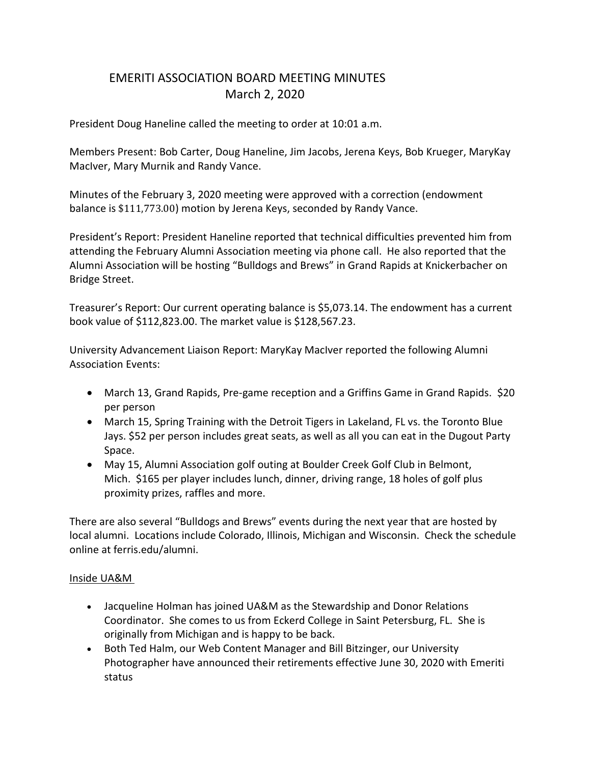## EMERITI ASSOCIATION BOARD MEETING MINUTES March 2, 2020

President Doug Haneline called the meeting to order at 10:01 a.m.

Members Present: Bob Carter, Doug Haneline, Jim Jacobs, Jerena Keys, Bob Krueger, MaryKay MacIver, Mary Murnik and Randy Vance.

Minutes of the February 3, 2020 meeting were approved with a correction (endowment balance is \$111,773.00) motion by Jerena Keys, seconded by Randy Vance.

President's Report: President Haneline reported that technical difficulties prevented him from attending the February Alumni Association meeting via phone call. He also reported that the Alumni Association will be hosting "Bulldogs and Brews" in Grand Rapids at Knickerbacher on Bridge Street.

Treasurer's Report: Our current operating balance is \$5,073.14. The endowment has a current book value of \$112,823.00. The market value is \$128,567.23.

University Advancement Liaison Report: MaryKay MacIver reported the following Alumni Association Events:

- March 13, Grand Rapids, Pre-game reception and a Griffins Game in Grand Rapids. \$20 per person
- March 15, Spring Training with the Detroit Tigers in Lakeland, FL vs. the Toronto Blue Jays. \$52 per person includes great seats, as well as all you can eat in the Dugout Party Space.
- May 15, Alumni Association golf outing at Boulder Creek Golf Club in Belmont, Mich. \$165 per player includes lunch, dinner, driving range, 18 holes of golf plus proximity prizes, raffles and more.

There are also several "Bulldogs and Brews" events during the next year that are hosted by local alumni. Locations include Colorado, Illinois, Michigan and Wisconsin. Check the schedule online at ferris.edu/alumni.

## Inside UA&M

- Jacqueline Holman has joined UA&M as the Stewardship and Donor Relations Coordinator. She comes to us from Eckerd College in Saint Petersburg, FL. She is originally from Michigan and is happy to be back.
- Both Ted Halm, our Web Content Manager and Bill Bitzinger, our University Photographer have announced their retirements effective June 30, 2020 with Emeriti status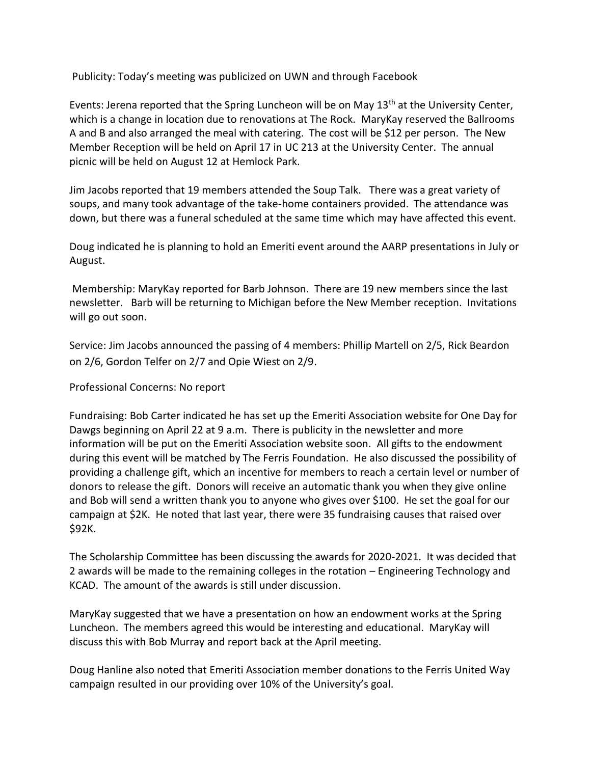Publicity: Today's meeting was publicized on UWN and through Facebook

Events: Jerena reported that the Spring Luncheon will be on May  $13<sup>th</sup>$  at the University Center, which is a change in location due to renovations at The Rock. MaryKay reserved the Ballrooms A and B and also arranged the meal with catering. The cost will be \$12 per person. The New Member Reception will be held on April 17 in UC 213 at the University Center. The annual picnic will be held on August 12 at Hemlock Park.

Jim Jacobs reported that 19 members attended the Soup Talk. There was a great variety of soups, and many took advantage of the take-home containers provided. The attendance was down, but there was a funeral scheduled at the same time which may have affected this event.

Doug indicated he is planning to hold an Emeriti event around the AARP presentations in July or August.

Membership: MaryKay reported for Barb Johnson. There are 19 new members since the last newsletter. Barb will be returning to Michigan before the New Member reception. Invitations will go out soon.

Service: Jim Jacobs announced the passing of 4 members: Phillip Martell on 2/5, Rick Beardon on 2/6, Gordon Telfer on 2/7 and Opie Wiest on 2/9.

Professional Concerns: No report

Fundraising: Bob Carter indicated he has set up the Emeriti Association website for One Day for Dawgs beginning on April 22 at 9 a.m. There is publicity in the newsletter and more information will be put on the Emeriti Association website soon. All gifts to the endowment during this event will be matched by The Ferris Foundation. He also discussed the possibility of providing a challenge gift, which an incentive for members to reach a certain level or number of donors to release the gift. Donors will receive an automatic thank you when they give online and Bob will send a written thank you to anyone who gives over \$100. He set the goal for our campaign at \$2K. He noted that last year, there were 35 fundraising causes that raised over \$92K.

The Scholarship Committee has been discussing the awards for 2020-2021. It was decided that 2 awards will be made to the remaining colleges in the rotation – Engineering Technology and KCAD. The amount of the awards is still under discussion.

MaryKay suggested that we have a presentation on how an endowment works at the Spring Luncheon. The members agreed this would be interesting and educational. MaryKay will discuss this with Bob Murray and report back at the April meeting.

Doug Hanline also noted that Emeriti Association member donations to the Ferris United Way campaign resulted in our providing over 10% of the University's goal.